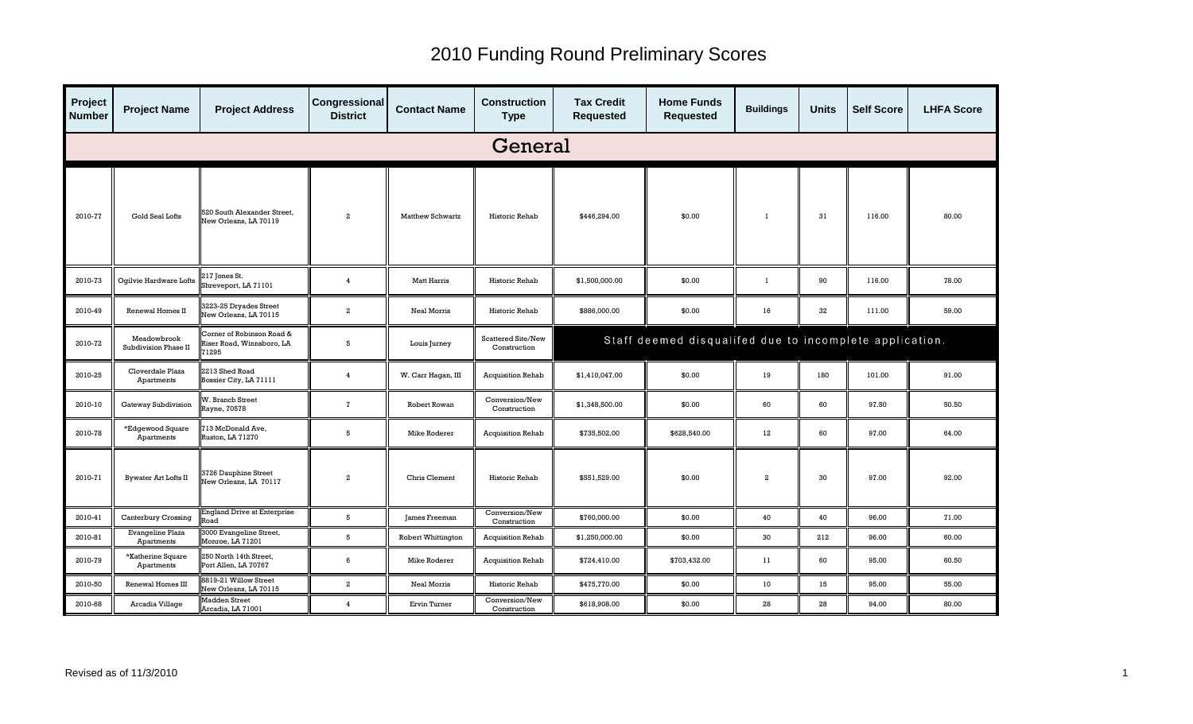| Project<br><b>Number</b> | <b>Project Name</b>                 | <b>Project Address</b>                                         | Congressional<br><b>District</b> | <b>Contact Name</b>     | <b>Construction</b><br><b>Type</b> | <b>Tax Credit</b><br><b>Requested</b> | <b>Home Funds</b><br><b>Requested</b>                   | <b>Buildings</b> | <b>Units</b> | <b>Self Score</b> | <b>LHFA Score</b> |  |
|--------------------------|-------------------------------------|----------------------------------------------------------------|----------------------------------|-------------------------|------------------------------------|---------------------------------------|---------------------------------------------------------|------------------|--------------|-------------------|-------------------|--|
|                          | General                             |                                                                |                                  |                         |                                    |                                       |                                                         |                  |              |                   |                   |  |
| 2010-77                  | Gold Seal Lofts                     | 520 South Alexander Street,<br>New Orleans, LA 70119           | $\overline{2}$                   | <b>Matthew Schwartz</b> | Historic Rehab                     | \$446,294.00                          | \$0.00                                                  | -1               | 31           | 116.00            | 80.00             |  |
| 2010-73                  | Ogilvie Hardware Lofts              | 217 Jones St.<br>Shreveport, LA 71101                          | $\overline{4}$                   | Matt Harris             | Historic Rehab                     | \$1,500,000.00                        | \$0.00                                                  | -1               | 90           | 116.00            | 78.00             |  |
| 2010-49                  | Renewal Homes II                    | 3223-25 Dryades Street<br>New Orleans, LA 70115                | $\overline{a}$                   | Neal Morris             | Historic Rehab                     | \$886,000.00                          | \$0.00                                                  | 16               | 32           | 111.00            | 59.00             |  |
| 2010-72                  | Meadowbrook<br>Subdivision Phase II | Corner of Robinson Road &<br>Riser Road, Winnsboro, LA<br>1295 | 5                                | Louis Jurney            | Scattered Site/New<br>Construction |                                       | Staff deemed disqualifed due to incomplete application. |                  |              |                   |                   |  |
| 2010-25                  | Cloverdale Plaza<br>Apartments      | 2213 Shed Road<br>Bossier City, LA 71111                       | $\overline{4}$                   | W. Carr Hagan, III      | <b>Acquisition Rehab</b>           | \$1,410,047.00                        | \$0.00                                                  | 19               | 180          | 101.00            | 91.00             |  |
| 2010-10                  | Gateway Subdivision                 | <b>N. Branch Street</b><br><b>Rayne, 70578</b>                 | $\mathbf{7}$                     | Robert Rowan            | Conversion/New<br>Construction     | \$1,348,500.00                        | \$0.00                                                  | 60               | 60           | 97.50             | 50.50             |  |
| 2010-78                  | *Edgewood Square<br>Apartments      | 13 McDonald Ave,<br>Ruston, LA 71270                           | 5                                | Mike Roderer            | <b>Acquisition Rehab</b>           | \$735,502.00                          | \$628,540.00                                            | $12 \,$          | 60           | 97.00             | 64.00             |  |
| 2010-71                  | <b>Bywater Art Lofts II</b>         | 3726 Dauphine Street<br><b>New Orleans, LA 70117</b>           | $\overline{2}$                   | Chris Clement           | Historic Rehab                     | \$551,529.00                          | \$0.00                                                  | $\overline{a}$   | 30           | 97.00             | 92.00             |  |
| 2010-41                  | Canterbury Crossing                 | England Drive at Enterprise<br><b>load</b>                     | 5                                | James Freeman           | Conversion/New<br>Construction     | \$760,000.00                          | \$0.00                                                  | 40               | 40           | 96.00             | 71.00             |  |
| 2010-81                  | Evangeline Plaza<br>Apartments      | 3000 Evangeline Street,<br>Monroe, LA 71201                    | 5                                | Robert Whittington      | <b>Acquisition Rehab</b>           | \$1,250,000.00                        | \$0.00                                                  | 30               | 212          | 96.00             | 60.00             |  |
| 2010-79                  | *Katherine Square<br>Apartments     | 250 North 14th Street,<br>Port Allen, LA 70767                 | 6                                | Mike Roderer            | <b>Acquisition Rehab</b>           | \$724,410.00                          | \$703,432.00                                            | 11               | 60           | 95.00             | 60.50             |  |
| 2010-50                  | Renewal Homes III                   | 3819-21 Willow Street<br>New Orleans, LA 70115                 | $\overline{a}$                   | Neal Morris             | Historic Rehab                     | \$475,770.00                          | \$0.00                                                  | 10 <sup>°</sup>  | 15           | 95.00             | 55.00             |  |
| 2010-68                  | Arcadia Village                     | <b>Madden Street</b><br>Arcadia, LA 71001                      | $\overline{4}$                   | Ervin Turner            | Conversion/New<br>Construction     | \$618,908.00                          | \$0.00                                                  | 28               | 28           | 94.00             | 80.00             |  |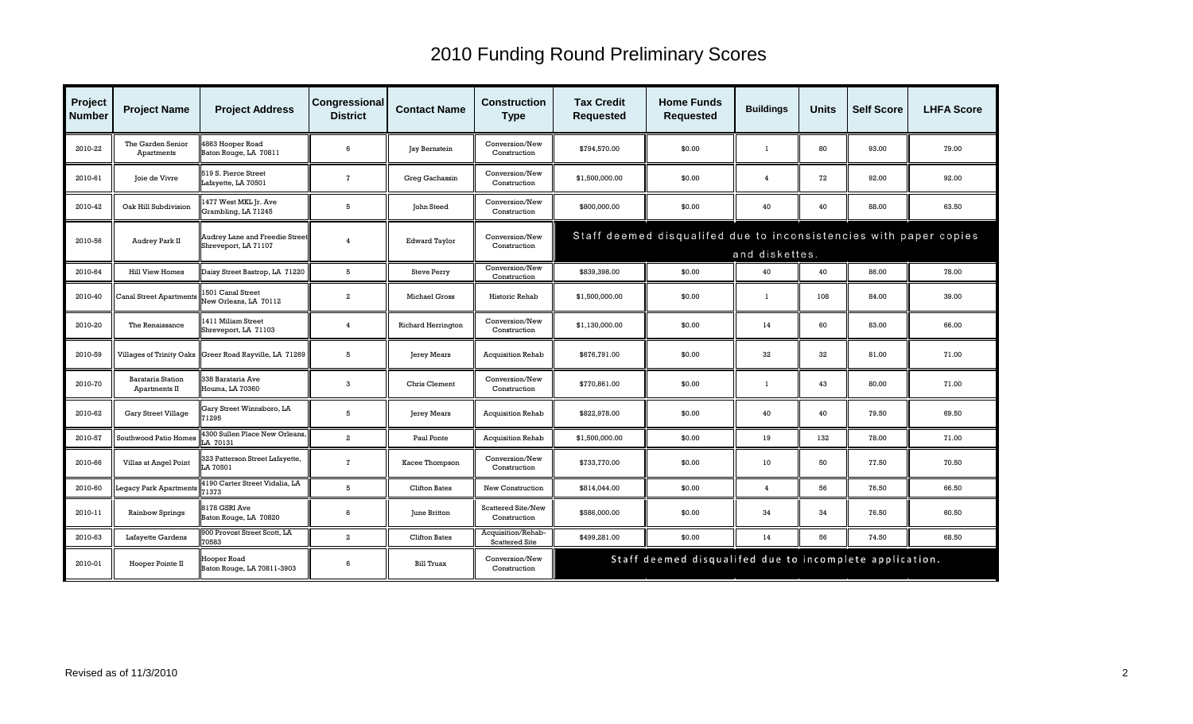| Project<br><b>Number</b> | <b>Project Name</b>                       | <b>Project Address</b>                                        | Congressional<br><b>District</b> | <b>Contact Name</b>       | <b>Construction</b><br><b>Type</b>          | <b>Tax Credit</b><br><b>Requested</b>                                               | <b>Home Funds</b><br><b>Requested</b>                   | <b>Buildings</b> | <b>Units</b> | <b>Self Score</b> | <b>LHFA Score</b> |  |
|--------------------------|-------------------------------------------|---------------------------------------------------------------|----------------------------------|---------------------------|---------------------------------------------|-------------------------------------------------------------------------------------|---------------------------------------------------------|------------------|--------------|-------------------|-------------------|--|
| 2010-22                  | The Garden Senior<br>Apartments           | 863 Hooper Road<br>Baton Rouge, LA 70811                      | 6                                | Jay Bernstein             | Conversion/New<br>Construction              | \$794.570.00                                                                        | \$0.00                                                  | -1               | 80           | 93.00             | 79.00             |  |
| 2010-61                  | Joie de Vivre                             | 519 S. Pierce Street<br>Lafayette, LA 70501                   | $\overline{1}$                   | Greg Gachassin            | Conversion/New<br>Construction              | \$1,500,000.00                                                                      | \$0.00                                                  | $\overline{4}$   | 72           | 92.00             | 92.00             |  |
| 2010-42                  | Oak Hill Subdivision                      | 1477 West MKL Jr. Ave<br>Grambling, LA 71245                  | 5                                | John Steed                | Conversion/New<br>Construction              | \$800,000.00                                                                        | \$0.00                                                  | 40               | 40           | 88.00             | 63.50             |  |
| 2010-56                  | Audrey Park II                            | <b>Audrey Lane and Freedie Street</b><br>Shreveport, LA 71107 | $\overline{4}$                   | <b>Edward Taylor</b>      | Conversion/New<br>Construction              | Staff deemed disqualifed due to inconsistencies with paper copies<br>and diskettes. |                                                         |                  |              |                   |                   |  |
| 2010-64                  | <b>Hill View Homes</b>                    | Daisy Street Bastrop, LA 71220                                | 5                                | <b>Steve Perry</b>        | Conversion/New<br>Construction              | \$839,398.00                                                                        | \$0.00                                                  | 40               | 40           | 86.00             | 78.00             |  |
| 2010-40                  | <b>Canal Street Apartments</b>            | 1501 Canal Street<br>New Orleans, LA 70112                    | $\overline{a}$                   | Michael Gross             | Historic Rehab                              | \$1,500,000.00                                                                      | \$0.00                                                  | -1               | 108          | 84.00             | 39.00             |  |
| 2010-20                  | The Renaissance                           | 1411 Miliam Street<br>Shreveport, LA 71103                    | $\overline{4}$                   | <b>Richard Herrington</b> | Conversion/New<br>Construction              | \$1,130,000.00                                                                      | \$0.00                                                  | 14               | 60           | 83.00             | 66.00             |  |
| 2010-59                  |                                           | Villages of Trinity Oaks Greer Road Rayville, LA 71269        | 5                                | Jerey Mears               | <b>Acquisition Rehab</b>                    | \$676,791.00                                                                        | \$0.00                                                  | 32               | 32           | 81.00             | 71.00             |  |
| 2010-70                  | <b>Barataria Station</b><br>Apartments II | 338 Barataria Ave<br>Houma, LA 70360                          | 3                                | Chris Clement             | Conversion/New<br>Construction              | \$770,861.00                                                                        | \$0.00                                                  | -1               | 43           | 80.00             | 71.00             |  |
| 2010-62                  | <b>Gary Street Village</b>                | Gary Street Winnsboro, LA<br>71295                            | 5                                | <b>Jerey Mears</b>        | <b>Acquisition Rehab</b>                    | \$822,978.00                                                                        | \$0.00                                                  | 40               | 40           | 79.50             | 69.50             |  |
| 2010-57                  | <b>Southwood Patio Homes</b>              | 300 Sullen Place New Orleans,<br>A 70131                      | $\overline{a}$                   | Paul Ponte                | <b>Acquisition Rehab</b>                    | \$1,500,000.00                                                                      | \$0.00                                                  | 19               | 132          | 78.00             | 71.00             |  |
| 2010-66                  | Villas at Angel Point                     | 23 Patterson Street Lafayette,<br>A 70501.                    | $\mathbf{7}$                     | Kacee Thompson            | Conversion/New<br>Construction              | \$733,770.00                                                                        | \$0.00                                                  | 10               | 50           | 77.50             | 70.50             |  |
| 2010-60                  | <b>Legacy Park Apartments</b>             | <b>1190 Carter Street Vidalia, LA</b><br>1373                 | 5                                | <b>Clifton Bates</b>      | New Construction                            | \$814,044.00                                                                        | \$0.00                                                  | $\overline{4}$   | 56           | 76.50             | 66.50             |  |
| 2010-11                  | <b>Rainbow Springs</b>                    | 8178 GSRI Ave<br>Baton Rouge, LA 70820                        | 6                                | June Britton              | Scattered Site/New<br>Construction          | \$586,000.00                                                                        | \$0.00                                                  | 34               | 34           | 76.50             | 60.50             |  |
| 2010-63                  | Lafayette Gardens                         | 900 Provost Street Scott, LA<br>0583                          | $\overline{2}$                   | Clifton Bates             | Acquisition/Rehab-<br><b>Scattered Site</b> | \$499,281.00                                                                        | \$0.00                                                  | 14               | 56           | 74.50             | 68.50             |  |
| 2010-01                  | Hooper Pointe II                          | Hooper Road<br>Baton Rouge, LA 70811-3903                     | 6                                | Bill Truax                | Conversion/New<br>Construction              |                                                                                     | Staff deemed disqualifed due to incomplete application. |                  |              |                   |                   |  |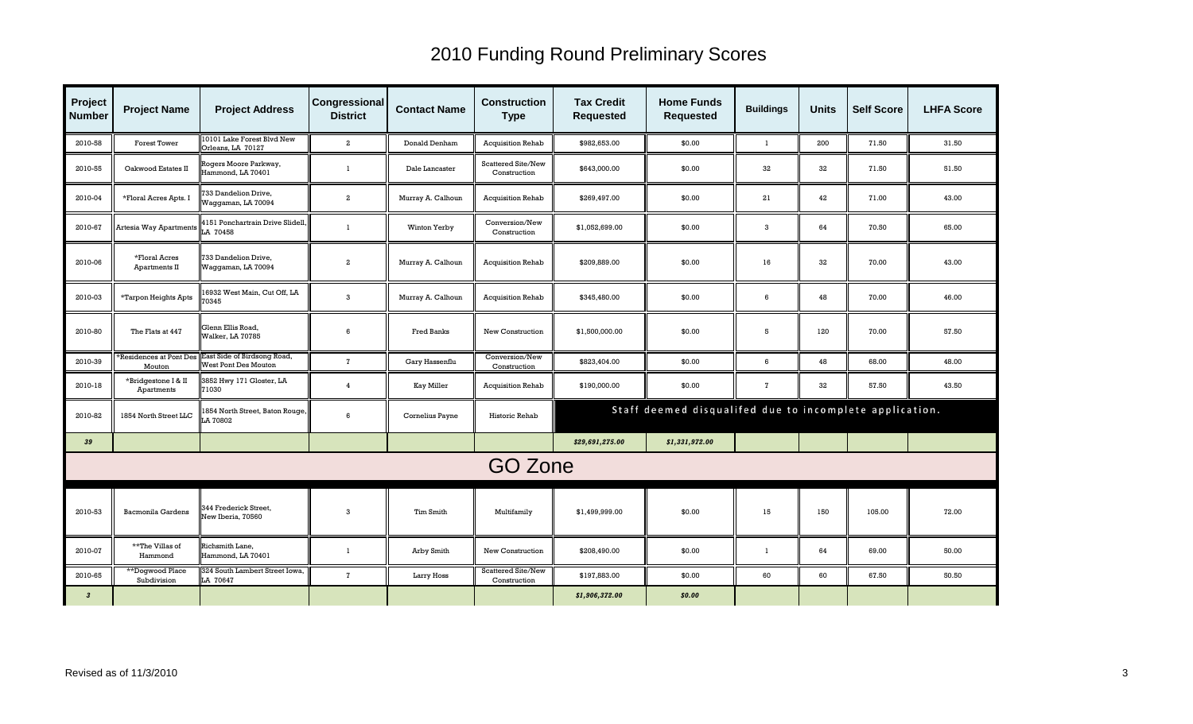| Project<br><b>Number</b> | <b>Project Name</b>               | <b>Project Address</b>                                     | <b>Congressional</b><br><b>District</b> | <b>Contact Name</b> | <b>Construction</b><br><b>Type</b>        | <b>Tax Credit</b><br><b>Requested</b> | <b>Home Funds</b><br><b>Requested</b>                   | <b>Buildings</b> | <b>Units</b> | <b>Self Score</b> | <b>LHFA Score</b> |
|--------------------------|-----------------------------------|------------------------------------------------------------|-----------------------------------------|---------------------|-------------------------------------------|---------------------------------------|---------------------------------------------------------|------------------|--------------|-------------------|-------------------|
| 2010-58                  | <b>Forest Tower</b>               | 10101 Lake Forest Blvd New<br>Orleans, LA 70127            | $\overline{a}$                          | Donald Denham       | <b>Acquisition Rehab</b>                  | \$982,653.00                          | \$0.00                                                  | $\mathbf{1}$     | 200          | 71.50             | 31.50             |
| 2010-55                  | Oakwood Estates II                | Rogers Moore Parkway,<br>Hammond, LA 70401                 | $\mathbf{1}$                            | Dale Lancaster      | <b>Scattered Site/New</b><br>Construction | \$643,000.00                          | \$0.00                                                  | 32               | 32           | 71.50             | 51.50             |
| 2010-04                  | *Floral Acres Apts. I             | 33 Dandelion Drive,<br>Waggaman, LA 70094                  | $\overline{a}$                          | Murray A. Calhoun   | <b>Acquisition Rehab</b>                  | \$269,497.00                          | \$0.00                                                  | 21               | 42           | 71.00             | 43.00             |
| 2010-67                  | Irtesia Way Apartments            | 1151 Ponchartrain Drive Slidell,<br>LA 70458               |                                         | Winton Yerby        | Conversion/New<br>Construction            | \$1,052,699.00                        | \$0.00                                                  | 3                | 64           | 70.50             | 65.00             |
| 2010-06                  | *Floral Acres<br>Apartments II    | 733 Dandelion Drive,<br>Waggaman, LA 70094                 | $\overline{a}$                          | Murray A. Calhoun   | <b>Acquisition Rehab</b>                  | \$209,889.00                          | \$0.00                                                  | 16               | 32           | 70.00             | 43.00             |
| 2010-03                  | *Tarpon Heights Apts              | 6932 West Main, Cut Off, LA<br>0345                        | 3                                       | Murray A. Calhoun   | <b>Acquisition Rehab</b>                  | \$345,480.00                          | \$0.00                                                  | 6                | 48           | 70.00             | 46.00             |
| 2010-80                  | The Flats at 447                  | Glenn Ellis Road,<br>Walker, LA 70785                      | 6                                       | Fred Banks          | New Construction                          | \$1,500,000.00                        | \$0.00                                                  | 5                | 120          | 70.00             | 57.50             |
| 2010-39                  | Residences at Pont Des<br>Mouton  | East Side of Birdsong Road,<br><b>West Pont Des Mouton</b> | $\mathbf{z}$                            | Gary Hassenflu      | Conversion/New<br>Construction            | \$823,404.00                          | \$0.00                                                  | 6                | 48           | 68.00             | 48.00             |
| 2010-18                  | *Bridgestone I & II<br>Apartments | 3852 Hwy 171 Gloster, LA<br>1030                           | $\overline{4}$                          | <b>Kay Miller</b>   | Acquisition Rehab                         | \$190,000.00                          | \$0.00                                                  | $\mathbf{7}$     | 32           | 57.50             | 43.50             |
| 2010-82                  | 1854 North Street LLC             | 1854 North Street, Baton Rouge,<br>LA 70802                | 6                                       | Cornelius Payne     | Historic Rehab                            |                                       | Staff deemed disqualifed due to incomplete application. |                  |              |                   |                   |
| 39                       |                                   |                                                            |                                         |                     |                                           | \$29,691,275.00                       | \$1,331,972.00                                          |                  |              |                   |                   |
|                          |                                   |                                                            |                                         |                     | GO Zone                                   |                                       |                                                         |                  |              |                   |                   |
| 2010-53                  | <b>Bacmonila Gardens</b>          | 344 Frederick Street,<br>Vew Iberia, 70560                 | 3                                       | Tim Smith           | Multifamily                               | \$1,499,999.00                        | \$0.00                                                  | 15               | 150          | 105.00            | 72.00             |
| 2010-07                  | **The Villas of<br>Hammond        | Richsmith Lane,<br>Hammond, LA 70401                       | $\mathbf{1}$                            | Arby Smith          | New Construction                          | \$208,490.00                          | \$0.00                                                  | $\mathbf{1}$     | 64           | 69.00             | 50.00             |
| 2010-65                  | **Dogwood Place<br>Subdivision    | 324 South Lambert Street Iowa,<br>LA 70647                 | $\overline{7}$                          | Larry Hoss          | Scattered Site/New<br>Construction        | \$197,883.00                          | \$0.00                                                  | 60               | 60           | 67.50             | 50.50             |
| $\boldsymbol{3}$         |                                   |                                                            |                                         |                     |                                           | \$1,906,372.00                        | \$0.00                                                  |                  |              |                   |                   |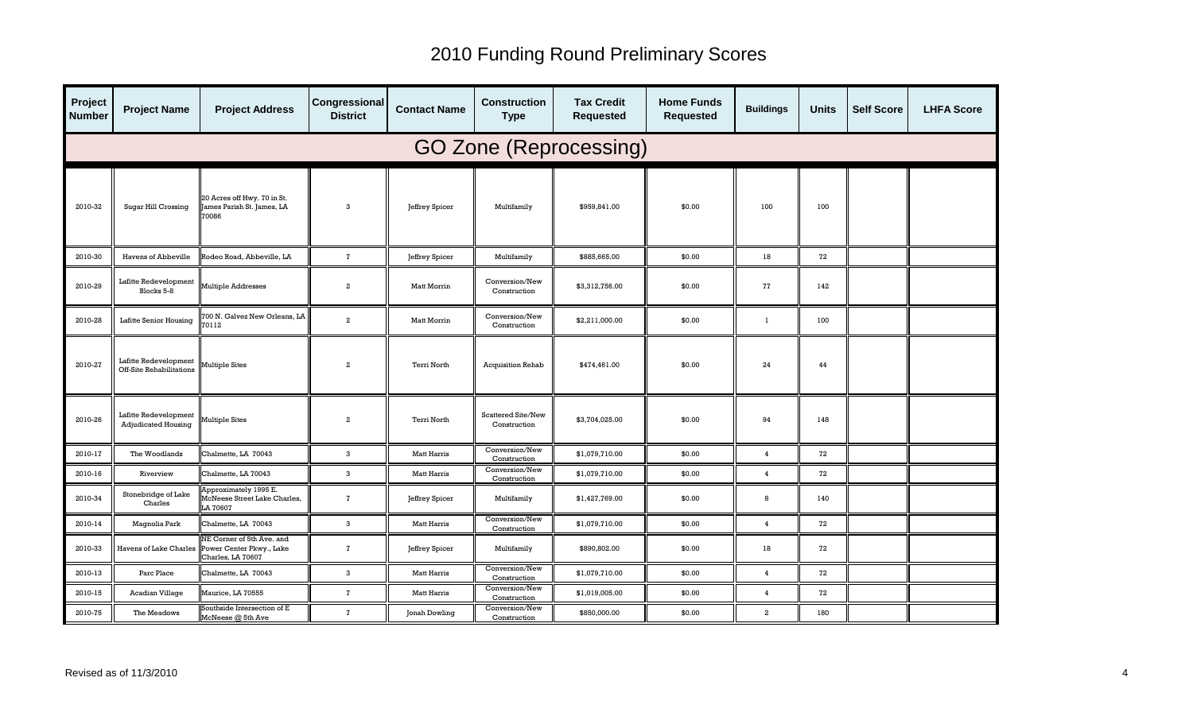| Project<br><b>Number</b>      | <b>Project Name</b>                                      | <b>Project Address</b>                                                                            | Congressional<br><b>District</b> | <b>Contact Name</b> | <b>Construction</b><br><b>Type</b> | <b>Tax Credit</b><br><b>Requested</b> | <b>Home Funds</b><br><b>Requested</b> | <b>Buildings</b> | <b>Units</b> | <b>Self Score</b> | <b>LHFA Score</b> |  |
|-------------------------------|----------------------------------------------------------|---------------------------------------------------------------------------------------------------|----------------------------------|---------------------|------------------------------------|---------------------------------------|---------------------------------------|------------------|--------------|-------------------|-------------------|--|
| <b>GO Zone (Reprocessing)</b> |                                                          |                                                                                                   |                                  |                     |                                    |                                       |                                       |                  |              |                   |                   |  |
| 2010-32                       | <b>Sugar Hill Crossing</b>                               | 20 Acres off Hwy. 70 in St.<br>ames Parish St. James, LA<br>70086                                 | 3                                | Jeffrey Spicer      | Multifamily                        | \$959,841.00                          | \$0.00                                | 100              | 100          |                   |                   |  |
| 2010-30                       | Havens of Abbeville                                      | Rodeo Road, Abbeville, LA                                                                         | $\overline{7}$                   | Jeffrey Spicer      | Multifamily                        | \$885,665.00                          | \$0.00                                | 18               | 72           |                   |                   |  |
| 2010-29                       | Lafitte Redevelopment<br>Blocks 5-8                      | Multiple Addresses                                                                                | $\boldsymbol{2}$                 | <b>Matt Morrin</b>  | Conversion/New<br>Construction     | \$3,312,756.00                        | \$0.00                                | 77               | 142          |                   |                   |  |
| 2010-28                       | Lafitte Senior Housing                                   | 00 N. Galvez New Orleans, LA<br>70112                                                             | $\overline{a}$                   | Matt Morrin         | Conversion/New<br>Construction     | \$2,211,000.00                        | \$0.00                                | $\mathbf{1}$     | 100          |                   |                   |  |
| 2010-27                       | Lafitte Redevelopment<br><b>Off-Site Rehabilitations</b> | Multiple Sites                                                                                    | $\overline{2}$                   | Terri North         | <b>Acquisition Rehab</b>           | \$474,461.00                          | \$0.00                                | 24               | 44           |                   |                   |  |
| 2010-26                       | Lafitte Redevelopment<br><b>Adjudicated Housing</b>      | Multiple Sites                                                                                    | $\overline{2}$                   | Terri North         | Scattered Site/New<br>Construction | \$3,704,025.00                        | \$0.00                                | 94               | 148          |                   |                   |  |
| 2010-17                       | The Woodlands                                            | Chalmette, LA 70043                                                                               | $\mathbf{3}$                     | <b>Matt Harris</b>  | Conversion/New<br>Construction     | \$1,079,710.00                        | \$0.00                                | $\overline{4}$   | 72           |                   |                   |  |
| 2010-16                       | Riverview                                                | Chalmette, LA 70043                                                                               | 3                                | <b>Matt Harris</b>  | Conversion/New<br>Construction     | \$1,079,710.00                        | \$0.00                                | $\overline{4}$   | 72           |                   |                   |  |
| 2010-34                       | Stonebridge of Lake<br>Charles                           | Approximately 1995 E.<br>McNeese Street Lake Charles,<br>LA 70607                                 | $\mathbf{z}$                     | Jeffrey Spicer      | Multifamily                        | \$1,427,769.00                        | \$0.00                                | 8                | 140          |                   |                   |  |
| 2010-14                       | Magnolia Park                                            | Chalmette, LA 70043                                                                               | $\mathbf{3}$                     | <b>Matt Harris</b>  | Conversion/New<br>Construction     | \$1,079,710.00                        | \$0.00                                | $\overline{4}$   | 72           |                   |                   |  |
| 2010-33                       |                                                          | NE Corner of 5th Ave. and<br>Havens of Lake Charles Power Center Pkwy., Lake<br>Charles, LA 70607 | $\overline{7}$                   | Jeffrey Spicer      | Multifamily                        | \$890,802.00                          | \$0.00                                | 18               | 72           |                   |                   |  |
| 2010-13                       | Parc Place                                               | Chalmette, LA 70043                                                                               | 3                                | Matt Harris         | Conversion/New<br>Construction     | \$1,079,710.00                        | \$0.00                                | $\overline{4}$   | 72           |                   |                   |  |
| 2010-15                       | Acadian Village                                          | Maurice, LA 70555                                                                                 | $\mathbf{7}$                     | <b>Matt Harris</b>  | Conversion/New<br>Construction     | \$1,019,005.00                        | \$0.00                                | $\overline{4}$   | 72           |                   |                   |  |
| 2010-75                       | The Meadows                                              | Southside Intersection of E<br>McNeese @ 5th Ave                                                  | $\overline{7}$                   | Jonah Dowling       | Conversion/New<br>Construction     | \$850,000.00                          | \$0.00                                | $\overline{a}$   | 180          |                   |                   |  |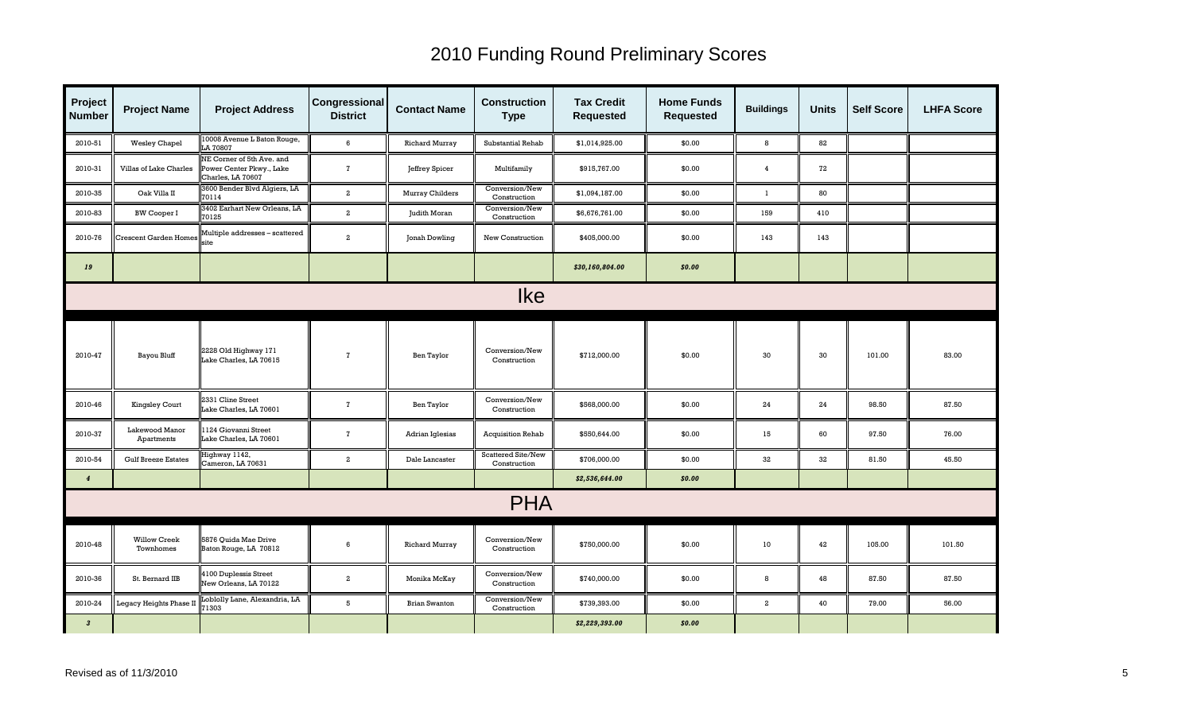| Project<br><b>Number</b> | <b>Project Name</b>              | <b>Project Address</b>                                                     | Congressional<br><b>District</b> | <b>Contact Name</b>   | <b>Construction</b><br><b>Type</b> | <b>Tax Credit</b><br><b>Requested</b> | <b>Home Funds</b><br><b>Requested</b> | <b>Buildings</b> | <b>Units</b> | <b>Self Score</b> | <b>LHFA Score</b> |
|--------------------------|----------------------------------|----------------------------------------------------------------------------|----------------------------------|-----------------------|------------------------------------|---------------------------------------|---------------------------------------|------------------|--------------|-------------------|-------------------|
| 2010-51                  | <b>Wesley Chapel</b>             | 10008 Avenue L Baton Rouge,<br>LA 70807                                    | 6                                | <b>Richard Murray</b> | Substantial Rehab                  | \$1,014,925.00                        | \$0.00                                | 8                | 82           |                   |                   |
| 2010-31                  | Villas of Lake Charles           | NE Corner of 5th Ave. and<br>Power Center Pkwy., Lake<br>Charles, LA 70607 | $\mathbf{7}$                     | Jeffrey Spicer        | Multifamily                        | \$915,767.00                          | \$0.00                                | $\overline{4}$   | 72           |                   |                   |
| 2010-35                  | Oak Villa II                     | 3600 Bender Blvd Algiers, LA<br>70114                                      | $\overline{a}$                   | Murray Childers       | Conversion/New<br>Construction     | \$1,094,187.00                        | \$0.00                                | $\mathbf{1}$     | 80           |                   |                   |
| 2010-83                  | <b>BW Cooper I</b>               | 3402 Earhart New Orleans, LA<br>70125                                      | $\overline{a}$                   | Judith Moran          | Conversion/New<br>Construction     | \$6,676,761.00                        | \$0.00                                | 159              | 410          |                   |                   |
| 2010-76                  | <b>Crescent Garden Homes</b>     | Multiple addresses - scattered<br>ite                                      | $\overline{a}$                   | Jonah Dowling         | New Construction                   | \$405,000.00                          | \$0.00                                | 143              | 143          |                   |                   |
| 19                       |                                  |                                                                            |                                  |                       |                                    | \$30,160,804.00                       | \$0.00                                |                  |              |                   |                   |
| <b>Ike</b>               |                                  |                                                                            |                                  |                       |                                    |                                       |                                       |                  |              |                   |                   |
| 2010-47                  | Bayou Bluff                      | 2228 Old Highway 171<br>Lake Charles, LA 70615                             | $\mathbf{7}$                     | <b>Ben Taylor</b>     | Conversion/New<br>Construction     | \$712,000.00                          | \$0.00                                | 30               | 30           | 101.00            | 83.00             |
| 2010-46                  | <b>Kingsley Court</b>            | 2331 Cline Street<br>Lake Charles, LA 70601                                | $\mathbf{7}$                     | Ben Taylor            | Conversion/New<br>Construction     | \$568,000.00                          | \$0.00                                | 24               | 24           | 98.50             | 87.50             |
| 2010-37                  | Lakewood Manor<br>Apartments     | 124 Giovanni Street<br>Lake Charles, LA 70601                              | $\mathbf{7}$                     | Adrian Iglesias       | Acquisition Rehab                  | \$550,644.00                          | \$0.00                                | 15               | 60           | 97.50             | 76.00             |
| 2010-54                  | <b>Gulf Breeze Estates</b>       | Highway 1142,<br>Cameron, LA 70631                                         | $\overline{a}$                   | Dale Lancaster        | Scattered Site/New<br>Construction | \$706,000.00                          | \$0.00                                | 32               | 32           | 81.50             | 45.50             |
| $\boldsymbol{4}$         |                                  |                                                                            |                                  |                       |                                    | \$2,536,644.00                        | \$0.00                                |                  |              |                   |                   |
|                          |                                  |                                                                            |                                  |                       | <b>PHA</b>                         |                                       |                                       |                  |              |                   |                   |
| 2010-48                  | <b>Willow Creek</b><br>Townhomes | 5876 Quida Mae Drive<br>Baton Rouge, LA 70812                              | 6                                | <b>Richard Murray</b> | Conversion/New<br>Construction     | \$750,000.00                          | \$0.00                                | 10               | 42           | 105.00            | 101.50            |
| 2010-36                  | St. Bernard IIB                  | 4100 Duplessis Street<br>New Orleans, LA 70122                             | $\overline{a}$                   | Monika McKay          | Conversion/New<br>Construction     | \$740,000.00                          | \$0.00                                | 8                | 48           | 87.50             | 87.50             |
| 2010-24                  | <b>Legacy Heights Phase II</b>   | Loblolly Lane, Alexandria, LA<br>1303                                      | 5                                | <b>Brian Swanton</b>  | Conversion/New<br>Construction     | \$739,393.00                          | \$0.00                                | $\overline{a}$   | 40           | 79.00             | 56.00             |
| $\boldsymbol{3}$         |                                  |                                                                            |                                  |                       |                                    | \$2,229,393.00                        | \$0.00                                |                  |              |                   |                   |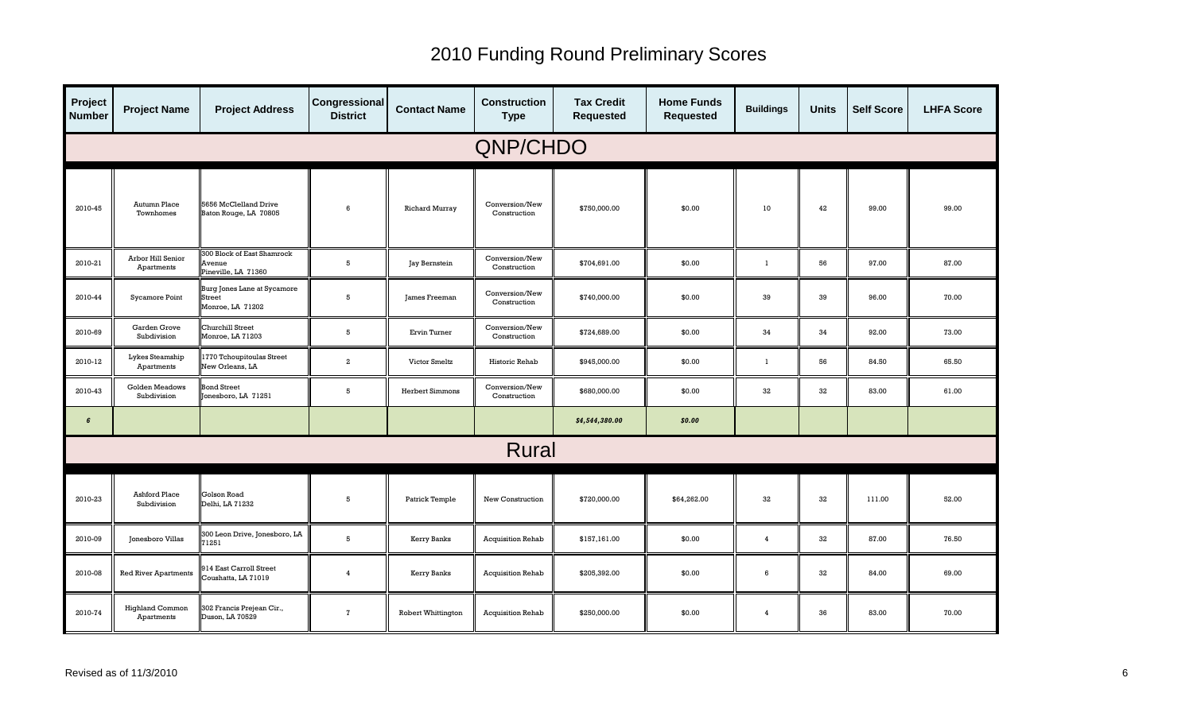| Project<br><b>Number</b> | <b>Project Name</b>                  | <b>Project Address</b>                                             | Congressional<br><b>District</b> | <b>Contact Name</b>       | <b>Construction</b><br><b>Type</b> | <b>Tax Credit</b><br><b>Requested</b> | <b>Home Funds</b><br><b>Requested</b> | <b>Buildings</b> | <b>Units</b> | <b>Self Score</b> | <b>LHFA Score</b> |
|--------------------------|--------------------------------------|--------------------------------------------------------------------|----------------------------------|---------------------------|------------------------------------|---------------------------------------|---------------------------------------|------------------|--------------|-------------------|-------------------|
| QNP/CHDO                 |                                      |                                                                    |                                  |                           |                                    |                                       |                                       |                  |              |                   |                   |
| 2010-45                  | Autumn Place<br>Townhomes            | 5656 McClelland Drive<br>Baton Rouge, LA 70805                     | 6                                | <b>Richard Murray</b>     | Conversion/New<br>Construction     | \$750,000.00                          | \$0.00                                | 10               | 42           | 99.00             | 99.00             |
| 2010-21                  | Arbor Hill Senior<br>Apartments      | <b>300 Block of East Shamrock</b><br>Avenue<br>Pineville, LA 71360 | 5                                | Jay Bernstein             | Conversion/New<br>Construction     | \$704,691.00                          | \$0.00                                | $\mathbf{1}$     | 56           | 97.00             | 87.00             |
| 2010-44                  | Sycamore Point                       | Burg Jones Lane at Sycamore<br><b>Street</b><br>Monroe, LA 71202   | 5                                | James Freeman             | Conversion/New<br>Construction     | \$740,000.00                          | \$0.00                                | 39               | 39           | 96.00             | 70.00             |
| 2010-69                  | Garden Grove<br>Subdivision          | Churchill Street<br>Monroe, LA 71203                               | 5                                | Ervin Turner              | Conversion/New<br>Construction     | \$724,689.00                          | \$0.00                                | 34               | 34           | 92.00             | 73.00             |
| 2010-12                  | Lykes Steamship<br>Apartments        | 1770 Tchoupitoulas Street<br>New Orleans, LA                       | $\overline{a}$                   | Victor Smeltz             | Historic Rehab                     | \$945,000.00                          | \$0.00                                | $\mathbf{1}$     | 56           | 84.50             | 65.50             |
| 2010-43                  | Golden Meadows<br>Subdivision        | <b>Bond Street</b><br>Jonesboro, LA 71251                          | 5                                | <b>Herbert Simmons</b>    | Conversion/New<br>Construction     | \$680,000.00                          | \$0.00                                | 32               | 32           | 83.00             | 61.00             |
| 6                        |                                      |                                                                    |                                  |                           |                                    | \$4,544,380.00                        | \$0.00                                |                  |              |                   |                   |
|                          |                                      |                                                                    |                                  |                           | <b>Rural</b>                       |                                       |                                       |                  |              |                   |                   |
| 2010-23                  | <b>Ashford Place</b><br>Subdivision  | Golson Road<br>Delhi, LA 71232                                     | 5                                | Patrick Temple            | New Construction                   | \$720,000.00                          | \$64,262.00                           | 32               | 32           | 111.00            | 52.00             |
| 2010-09                  | Jonesboro Villas                     | 300 Leon Drive, Jonesboro, LA<br>71251                             | 5                                | Kerry Banks               | <b>Acquisition Rehab</b>           | \$157,161.00                          | \$0.00                                | $\overline{4}$   | 32           | 87.00             | 76.50             |
| 2010-08                  | <b>Red River Apartments</b>          | 914 East Carroll Street<br>Coushatta, LA 71019                     | $\overline{4}$                   | Kerry Banks               | Acquisition Rehab                  | \$205,392.00                          | \$0.00                                | 6                | 32           | 84.00             | 69.00             |
| 2010-74                  | <b>Highland Common</b><br>Apartments | 302 Francis Prejean Cir.,<br>Duson, LA 70529                       | $\overline{7}$                   | <b>Robert Whittington</b> | <b>Acquisition Rehab</b>           | \$250,000.00                          | \$0.00                                | $\overline{4}$   | 36           | 83.00             | 70.00             |